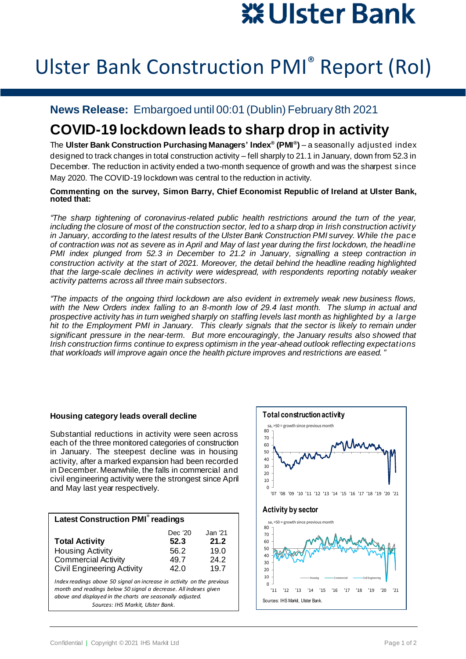# ※ Ulster Bank

## Ulster Bank Construction PMI® Report (RoI)

### **News Release:** Embargoed until 00:01 (Dublin) February 8th 2021

## **COVID-19 lockdown leads to sharp drop in activity**

The **Ulster Bank Construction Purchasing Managers' Index® (PMI® )** – a seasonally adjusted index designed to track changes in total construction activity – fell sharply to 21.1 in January, down from 52.3 in December. The reduction in activity ended a two-month sequence of growth and was the sharpest since May 2020. The COVID-19 lockdown was central to the reduction in activity.

**Commenting on the survey, Simon Barry, Chief Economist Republic of Ireland at Ulster Bank, noted that:**

*"The sharp tightening of coronavirus-related public health restrictions around the turn of the year, including the closure of most of the construction sector, led to a sharp drop in Irish construction activity in January, according to the latest results of the Ulster Bank Construction PMI survey. While the pace of contraction was not as severe as in April and May of last year during the first lockdown, the headline PMI index plunged from 52.3 in December to 21.2 in January, signalling a steep contraction in construction activity at the start of 2021. Moreover, the detail behind the headline reading highlighted that the large-scale declines in activity were widespread, with respondents reporting notably weaker activity patterns across all three main subsectors.*

*"The impacts of the ongoing third lockdown are also evident in extremely weak new business flows, with the New Orders index falling to an 8-month low of 29.4 last month. The slump in actual and prospective activity has in turn weighed sharply on staffing levels last month as highlighted by a large hit to the Employment PMI in January. This clearly signals that the sector is likely to remain under significant pressure in the near-term. But more encouragingly, the January results also showed that Irish construction firms continue to express optimism in the year-ahead outlook reflecting expectations that workloads will improve again once the health picture improves and restrictions are eased."*

#### **Housing category leads overall decline**

Substantial reductions in activity were seen across each of the three monitored categories of construction in January. The steepest decline was in housing activity, after a marked expansion had been recorded in December. Meanwhile, the falls in commercial and civil engineering activity were the strongest since April and May last year respectively.

| <b>Latest Construction PMI<sup>®</sup> readings</b>                                                                                                                                                                                           |                                         |                                          |
|-----------------------------------------------------------------------------------------------------------------------------------------------------------------------------------------------------------------------------------------------|-----------------------------------------|------------------------------------------|
| <b>Total Activity</b><br><b>Housing Activity</b><br><b>Commercial Activity</b><br><b>Civil Engineering Activity</b>                                                                                                                           | Dec '20<br>52.3<br>56.2<br>49.7<br>42.0 | Jan '21.<br>21.2<br>19.0<br>24.2<br>19.7 |
| Index readings above 50 signal an increase in activity on the previous<br>month and readings below 50 signal a decrease. All indexes given<br>above and displayed in the charts are seasonally adjusted.<br>Sources: IHS Markit, Ulster Bank. |                                         |                                          |